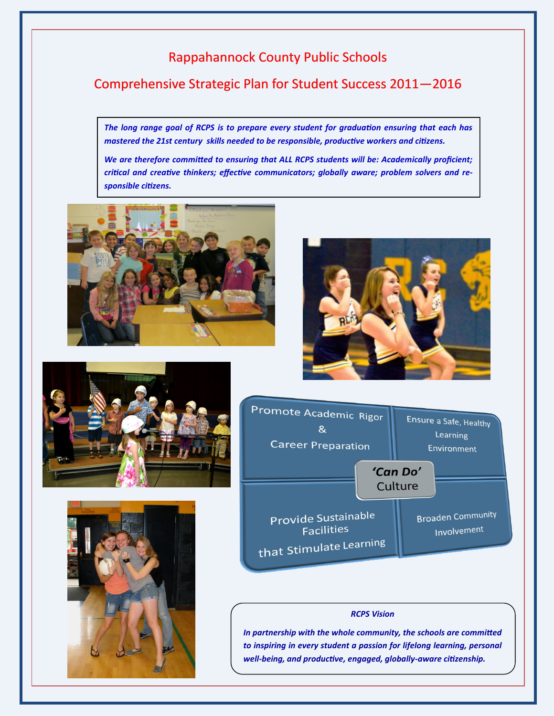## Rappahannock County Public Schools

## Comprehensive Strategic Plan for Student Success 2011—2016

*The long range goal of RCPS is to prepare every student for graduation ensuring that each has mastered the 21st century skills needed to be responsible, productive workers and citizens.*

*We are therefore committed to ensuring that ALL RCPS students will be: Academically proficient; critical and creative thinkers; effective communicators; globally aware; problem solvers and responsible citizens.*











#### *RCPS Vision*

*In partnership with the whole community, the schools are committed to inspiring in every student a passion for lifelong learning, personal well-being, and productive, engaged, globally-aware citizenship.*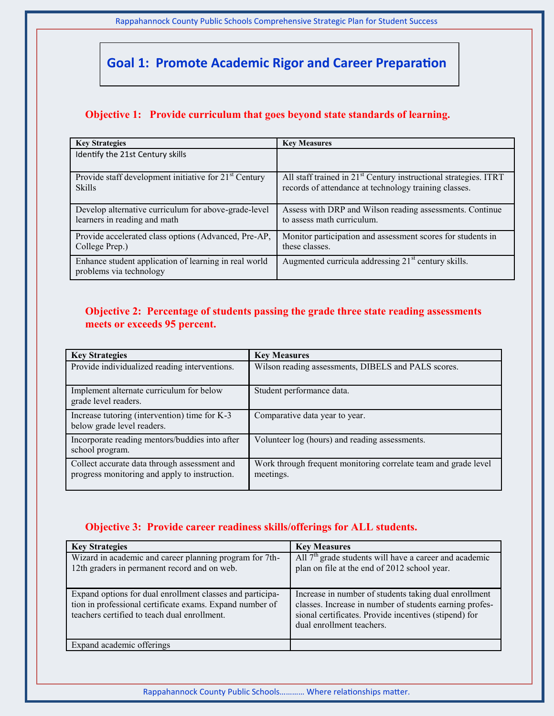Rappahannock County Public Schools Comprehensive Strategic Plan for Student Success

## **Goal 1: Promote Academic Rigor and Career Preparation**

### **Objective 1: Provide curriculum that goes beyond state standards of learning.**

| <b>Key Strategies</b>                                                                | <b>Key Measures</b>                                                                                                                   |
|--------------------------------------------------------------------------------------|---------------------------------------------------------------------------------------------------------------------------------------|
| Identify the 21st Century skills                                                     |                                                                                                                                       |
|                                                                                      |                                                                                                                                       |
| Provide staff development initiative for 21 <sup>st</sup> Century<br><b>Skills</b>   | All staff trained in 21 <sup>st</sup> Century instructional strategies. ITRT<br>records of attendance at technology training classes. |
| Develop alternative curriculum for above-grade-level<br>learners in reading and math | Assess with DRP and Wilson reading assessments. Continue<br>to assess math curriculum.                                                |
| Provide accelerated class options (Advanced, Pre-AP,<br>College Prep.)               | Monitor participation and assessment scores for students in<br>these classes.                                                         |
| Enhance student application of learning in real world<br>problems via technology     | Augmented curricula addressing 21 <sup>st</sup> century skills.                                                                       |

#### **Objective 2: Percentage of students passing the grade three state reading assessments meets or exceeds 95 percent.**

| <b>Key Strategies</b>                                                                         | <b>Key Measures</b>                                                          |
|-----------------------------------------------------------------------------------------------|------------------------------------------------------------------------------|
| Provide individualized reading interventions.                                                 | Wilson reading assessments, DIBELS and PALS scores.                          |
| Implement alternate curriculum for below<br>grade level readers.                              | Student performance data.                                                    |
| Increase tutoring (intervention) time for K-3<br>below grade level readers.                   | Comparative data year to year.                                               |
| Incorporate reading mentors/buddies into after<br>school program.                             | Volunteer log (hours) and reading assessments.                               |
| Collect accurate data through assessment and<br>progress monitoring and apply to instruction. | Work through frequent monitoring correlate team and grade level<br>meetings. |

#### **Objective 3: Provide career readiness skills/offerings for ALL students.**

| <b>Key Strategies</b>                                                                                                                                                 | <b>Key Measures</b>                                                                                                                                                                                    |
|-----------------------------------------------------------------------------------------------------------------------------------------------------------------------|--------------------------------------------------------------------------------------------------------------------------------------------------------------------------------------------------------|
| Wizard in academic and career planning program for 7th-<br>12th graders in permanent record and on web.                                                               | All $7th$ grade students will have a career and academic<br>plan on file at the end of 2012 school year.                                                                                               |
| Expand options for dual enrollment classes and participa-<br>tion in professional certificate exams. Expand number of<br>teachers certified to teach dual enrollment. | Increase in number of students taking dual enrollment<br>classes. Increase in number of students earning profes-<br>sional certificates. Provide incentives (stipend) for<br>dual enrollment teachers. |
| Expand academic offerings                                                                                                                                             |                                                                                                                                                                                                        |

Rappahannock County Public Schools………… Where relationships matter.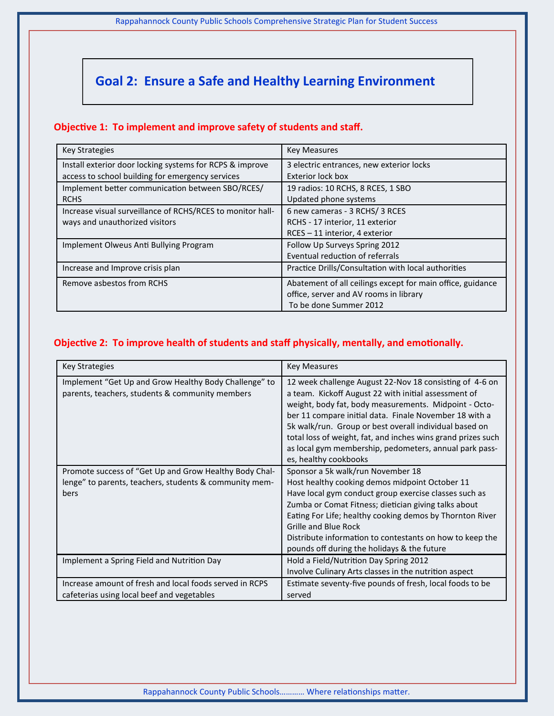Rappahannock County Public Schools Comprehensive Strategic Plan for Student Success

# **Goal 2: Ensure a Safe and Healthy Learning Environment**

#### **Objective 1: To implement and improve safety of students and staff.**

| <b>Key Strategies</b>                                      | <b>Key Measures</b>                                        |
|------------------------------------------------------------|------------------------------------------------------------|
| Install exterior door locking systems for RCPS & improve   | 3 electric entrances, new exterior locks                   |
| access to school building for emergency services           | Exterior lock box                                          |
| Implement better communication between SBO/RCES/           | 19 radios: 10 RCHS, 8 RCES, 1 SBO                          |
| <b>RCHS</b>                                                | Updated phone systems                                      |
| Increase visual surveillance of RCHS/RCES to monitor hall- | 6 new cameras - 3 RCHS/ 3 RCES                             |
| ways and unauthorized visitors                             | RCHS - 17 interior, 11 exterior                            |
|                                                            | RCES - 11 interior, 4 exterior                             |
| Implement Olweus Anti Bullying Program                     | Follow Up Surveys Spring 2012                              |
|                                                            | Eventual reduction of referrals                            |
| Increase and Improve crisis plan                           | Practice Drills/Consultation with local authorities        |
| Remove asbestos from RCHS                                  | Abatement of all ceilings except for main office, guidance |
|                                                            | office, server and AV rooms in library                     |
|                                                            | To be done Summer 2012                                     |

#### **Objective 2: To improve health of students and staff physically, mentally, and emotionally.**

| <b>Key Strategies</b>                                                                                                    | <b>Key Measures</b>                                                                                                                                                                                                                                                                                                                                                                                                                             |
|--------------------------------------------------------------------------------------------------------------------------|-------------------------------------------------------------------------------------------------------------------------------------------------------------------------------------------------------------------------------------------------------------------------------------------------------------------------------------------------------------------------------------------------------------------------------------------------|
| Implement "Get Up and Grow Healthy Body Challenge" to<br>parents, teachers, students & community members                 | 12 week challenge August 22-Nov 18 consisting of 4-6 on<br>a team. Kickoff August 22 with initial assessment of<br>weight, body fat, body measurements. Midpoint - Octo-<br>ber 11 compare initial data. Finale November 18 with a<br>5k walk/run. Group or best overall individual based on<br>total loss of weight, fat, and inches wins grand prizes such<br>as local gym membership, pedometers, annual park pass-<br>es, healthy cookbooks |
| Promote success of "Get Up and Grow Healthy Body Chal-<br>lenge" to parents, teachers, students & community mem-<br>bers | Sponsor a 5k walk/run November 18<br>Host healthy cooking demos midpoint October 11<br>Have local gym conduct group exercise classes such as<br>Zumba or Comat Fitness; dietician giving talks about<br>Eating For Life; healthy cooking demos by Thornton River<br><b>Grille and Blue Rock</b><br>Distribute information to contestants on how to keep the<br>pounds off during the holidays & the future                                      |
| Implement a Spring Field and Nutrition Day                                                                               | Hold a Field/Nutrition Day Spring 2012<br>Involve Culinary Arts classes in the nutrition aspect                                                                                                                                                                                                                                                                                                                                                 |
| Increase amount of fresh and local foods served in RCPS<br>cafeterias using local beef and vegetables                    | Estimate seventy-five pounds of fresh, local foods to be<br>served                                                                                                                                                                                                                                                                                                                                                                              |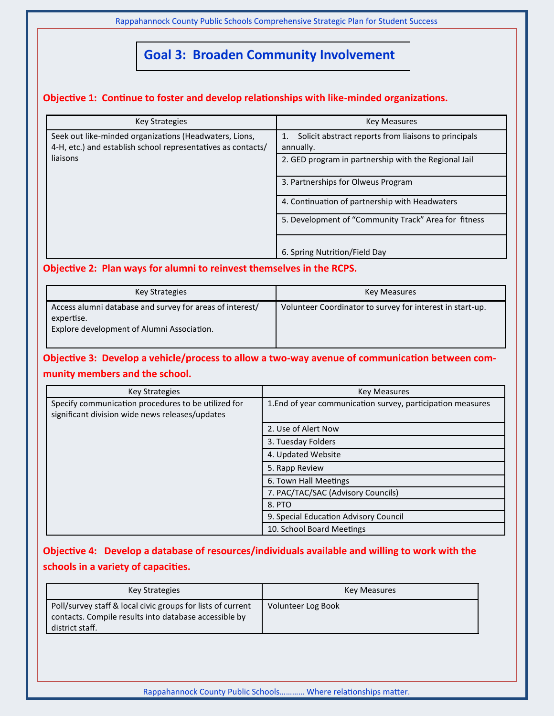Rappahannock County Public Schools Comprehensive Strategic Plan for Student Success

## **Goal 3: Broaden Community Involvement**

#### **Objective 1: Continue to foster and develop relationships with like-minded organizations.**

| <b>Key Strategies</b>                                                                                                  | <b>Key Measures</b>                                               |
|------------------------------------------------------------------------------------------------------------------------|-------------------------------------------------------------------|
| Seek out like-minded organizations (Headwaters, Lions,<br>4-H, etc.) and establish school representatives as contacts/ | Solicit abstract reports from liaisons to principals<br>annually. |
| liaisons                                                                                                               | 2. GED program in partnership with the Regional Jail              |
|                                                                                                                        | 3. Partnerships for Olweus Program                                |
|                                                                                                                        | 4. Continuation of partnership with Headwaters                    |
|                                                                                                                        | 5. Development of "Community Track" Area for fitness              |
|                                                                                                                        | 6. Spring Nutrition/Field Day                                     |

#### **Objective 2: Plan ways for alumni to reinvest themselves in the RCPS.**

| <b>Key Strategies</b>                                                                                                | Key Measures                                              |
|----------------------------------------------------------------------------------------------------------------------|-----------------------------------------------------------|
| Access alumni database and survey for areas of interest/<br>expertise.<br>Explore development of Alumni Association. | Volunteer Coordinator to survey for interest in start-up. |

## **Objective 3: Develop a vehicle/process to allow a two-way avenue of communication between community members and the school.**

| <b>Key Strategies</b>                                                                                  | <b>Key Measures</b>                                         |
|--------------------------------------------------------------------------------------------------------|-------------------------------------------------------------|
| Specify communication procedures to be utilized for<br>significant division wide news releases/updates | 1. End of year communication survey, participation measures |
|                                                                                                        | 2. Use of Alert Now                                         |
|                                                                                                        | 3. Tuesday Folders                                          |
|                                                                                                        | 4. Updated Website                                          |
|                                                                                                        | 5. Rapp Review                                              |
|                                                                                                        | 6. Town Hall Meetings                                       |
|                                                                                                        | 7. PAC/TAC/SAC (Advisory Councils)                          |
|                                                                                                        | 8. PTO                                                      |
|                                                                                                        | 9. Special Education Advisory Council                       |
|                                                                                                        | 10. School Board Meetings                                   |

## **Objective 4: Develop a database of resources/individuals available and willing to work with the schools in a variety of capacities.**

| Key Strategies                                                                                                                          | Key Measures       |
|-----------------------------------------------------------------------------------------------------------------------------------------|--------------------|
| Poll/survey staff & local civic groups for lists of current<br>contacts. Compile results into database accessible by<br>district staff. | Volunteer Log Book |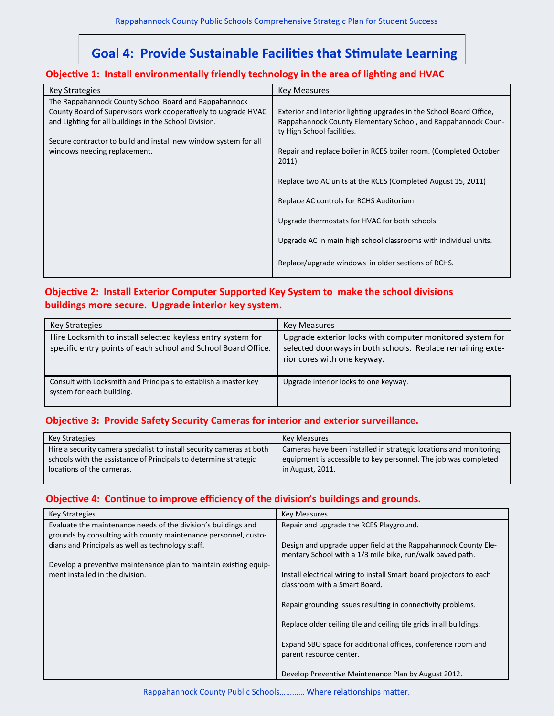## **Goal 4: Provide Sustainable Facilities that Stimulate Learning**

#### **Objective 1: Install environmentally friendly technology in the area of lighting and HVAC**

| <b>Key Strategies</b>                                                                                                                                                                                                                                                                 | <b>Key Measures</b>                                                                                                                                                                                                                                                                                                                                                                                            |
|---------------------------------------------------------------------------------------------------------------------------------------------------------------------------------------------------------------------------------------------------------------------------------------|----------------------------------------------------------------------------------------------------------------------------------------------------------------------------------------------------------------------------------------------------------------------------------------------------------------------------------------------------------------------------------------------------------------|
| The Rappahannock County School Board and Rappahannock<br>County Board of Supervisors work cooperatively to upgrade HVAC<br>and Lighting for all buildings in the School Division.<br>Secure contractor to build and install new window system for all<br>windows needing replacement. | Exterior and Interior lighting upgrades in the School Board Office,<br>Rappahannock County Elementary School, and Rappahannock Coun-<br>ty High School facilities.<br>Repair and replace boiler in RCES boiler room. (Completed October<br>2011)<br>Replace two AC units at the RCES (Completed August 15, 2011)<br>Replace AC controls for RCHS Auditorium.<br>Upgrade thermostats for HVAC for both schools. |
|                                                                                                                                                                                                                                                                                       | Upgrade AC in main high school classrooms with individual units.                                                                                                                                                                                                                                                                                                                                               |
|                                                                                                                                                                                                                                                                                       |                                                                                                                                                                                                                                                                                                                                                                                                                |
|                                                                                                                                                                                                                                                                                       | Replace/upgrade windows in older sections of RCHS.                                                                                                                                                                                                                                                                                                                                                             |

#### **Objective 2: Install Exterior Computer Supported Key System to make the school divisions buildings more secure. Upgrade interior key system.**

| Key Strategies                                                                                                               | <b>Key Measures</b>                                                                                                                                    |
|------------------------------------------------------------------------------------------------------------------------------|--------------------------------------------------------------------------------------------------------------------------------------------------------|
| Hire Locksmith to install selected keyless entry system for<br>specific entry points of each school and School Board Office. | Upgrade exterior locks with computer monitored system for<br>selected doorways in both schools. Replace remaining exte-<br>rior cores with one keyway. |
| Consult with Locksmith and Principals to establish a master key<br>system for each building.                                 | Upgrade interior locks to one keyway.                                                                                                                  |

#### **Objective 3: Provide Safety Security Cameras for interior and exterior surveillance.**

| Key Strategies                                                        | Key Measures                                                      |
|-----------------------------------------------------------------------|-------------------------------------------------------------------|
| Hire a security camera specialist to install security cameras at both | Cameras have been installed in strategic locations and monitoring |
| schools with the assistance of Principals to determine strategic      | equipment is accessible to key personnel. The job was completed   |
| locations of the cameras.                                             | in August, 2011.                                                  |

#### **Objective 4: Continue to improve efficiency of the division's buildings and grounds.**

| <b>Key Strategies</b>                                                                                                             | <b>Key Measures</b>                                                                                                         |
|-----------------------------------------------------------------------------------------------------------------------------------|-----------------------------------------------------------------------------------------------------------------------------|
| Evaluate the maintenance needs of the division's buildings and<br>grounds by consulting with county maintenance personnel, custo- | Repair and upgrade the RCES Playground.                                                                                     |
| dians and Principals as well as technology staff.                                                                                 | Design and upgrade upper field at the Rappahannock County Ele-<br>mentary School with a 1/3 mile bike, run/walk paved path. |
| Develop a preventive maintenance plan to maintain existing equip-<br>ment installed in the division.                              | Install electrical wiring to install Smart board projectors to each                                                         |
|                                                                                                                                   | classroom with a Smart Board.                                                                                               |
|                                                                                                                                   | Repair grounding issues resulting in connectivity problems.                                                                 |
|                                                                                                                                   | Replace older ceiling tile and ceiling tile grids in all buildings.                                                         |
|                                                                                                                                   | Expand SBO space for additional offices, conference room and<br>parent resource center.                                     |
|                                                                                                                                   | Develop Preventive Maintenance Plan by August 2012.                                                                         |